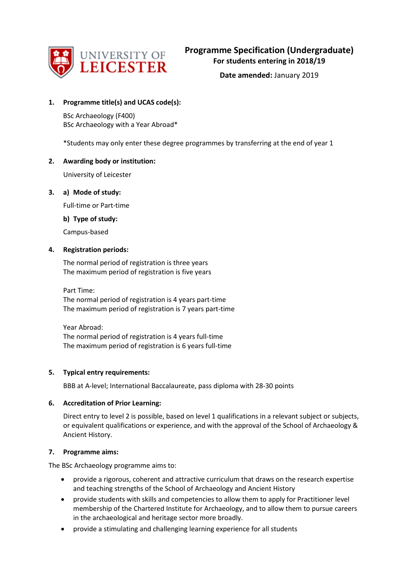

**Date amended:** January 2019

### **1. Programme title(s) and UCAS code(s):**

BSc Archaeology (F400) BSc Archaeology with a Year Abroad\*

\*Students may only enter these degree programmes by transferring at the end of year 1

### **2. Awarding body or institution:**

University of Leicester

### **3. a) Mode of study:**

Full-time or Part-time

### **b) Type of study:**

Campus-based

### **4. Registration periods:**

The normal period of registration is three years The maximum period of registration is five years

Part Time: The normal period of registration is 4 years part-time The maximum period of registration is 7 years part-time

Year Abroad: The normal period of registration is 4 years full-time The maximum period of registration is 6 years full-time

### **5. Typical entry requirements:**

BBB at A-level; International Baccalaureate, pass diploma with 28-30 points

## **6. Accreditation of Prior Learning:**

Direct entry to level 2 is possible, based on level 1 qualifications in a relevant subject or subjects, or equivalent qualifications or experience, and with the approval of the School of Archaeology & Ancient History.

### **7. Programme aims:**

The BSc Archaeology programme aims to:

- provide a rigorous, coherent and attractive curriculum that draws on the research expertise and teaching strengths of the School of Archaeology and Ancient History
- provide students with skills and competencies to allow them to apply for Practitioner level membership of the Chartered Institute for Archaeology, and to allow them to pursue careers in the archaeological and heritage sector more broadly.
- provide a stimulating and challenging learning experience for all students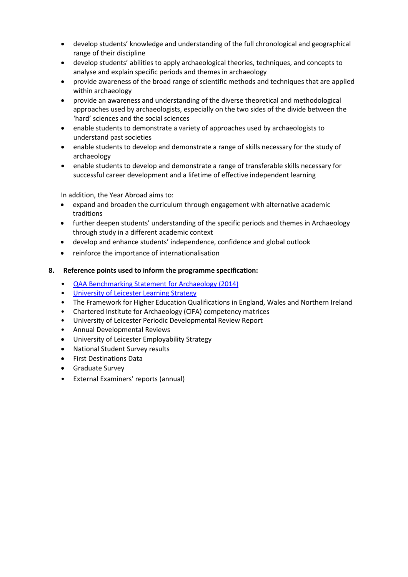- develop students' knowledge and understanding of the full chronological and geographical range of their discipline
- develop students' abilities to apply archaeological theories, techniques, and concepts to analyse and explain specific periods and themes in archaeology
- provide awareness of the broad range of scientific methods and techniques that are applied within archaeology
- provide an awareness and understanding of the diverse theoretical and methodological approaches used by archaeologists, especially on the two sides of the divide between the 'hard' sciences and the social sciences
- enable students to demonstrate a variety of approaches used by archaeologists to understand past societies
- enable students to develop and demonstrate a range of skills necessary for the study of archaeology
- enable students to develop and demonstrate a range of transferable skills necessary for successful career development and a lifetime of effective independent learning

In addition, the Year Abroad aims to:

- expand and broaden the curriculum through engagement with alternative academic traditions
- further deepen students' understanding of the specific periods and themes in Archaeology through study in a different academic context
- develop and enhance students' independence, confidence and global outlook
- reinforce the importance of internationalisation

## **8. Reference points used to inform the programme specification:**

- [QAA Benchmarking Statement for Archaeology \(2014\)](http://www.qaa.ac.uk/en/Publications/Documents/SBS-archaeology-14.pdf)
- [University of Leicester Learning Strategy](http://www2.le.ac.uk/offices/sas2/quality/learnteach)
- The Framework for Higher Education Qualifications in England, Wales and Northern Ireland
- Chartered Institute for Archaeology (CiFA) competency matrices
- University of Leicester Periodic Developmental Review Report
- Annual Developmental Reviews
- University of Leicester Employability Strategy
- National Student Survey results
- First Destinations Data
- Graduate Survey
- External Examiners' reports (annual)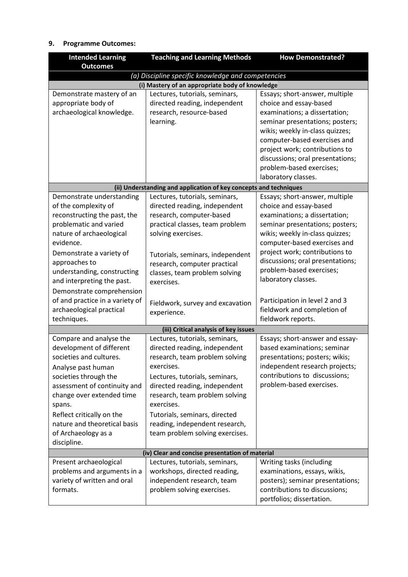## **9. Programme Outcomes:**

| <b>Intended Learning</b>        | <b>Teaching and Learning Methods</b>                              | <b>How Demonstrated?</b>         |
|---------------------------------|-------------------------------------------------------------------|----------------------------------|
| <b>Outcomes</b>                 |                                                                   |                                  |
|                                 | (a) Discipline specific knowledge and competencies                |                                  |
|                                 | (i) Mastery of an appropriate body of knowledge                   |                                  |
| Demonstrate mastery of an       | Lectures, tutorials, seminars,                                    | Essays; short-answer, multiple   |
| appropriate body of             | directed reading, independent                                     | choice and essay-based           |
| archaeological knowledge.       | research, resource-based                                          | examinations; a dissertation;    |
|                                 | learning.                                                         | seminar presentations; posters;  |
|                                 |                                                                   | wikis; weekly in-class quizzes;  |
|                                 |                                                                   | computer-based exercises and     |
|                                 |                                                                   | project work; contributions to   |
|                                 |                                                                   | discussions; oral presentations; |
|                                 |                                                                   | problem-based exercises;         |
|                                 |                                                                   | laboratory classes.              |
|                                 | (ii) Understanding and application of key concepts and techniques |                                  |
| Demonstrate understanding       | Lectures, tutorials, seminars,                                    | Essays; short-answer, multiple   |
| of the complexity of            | directed reading, independent                                     | choice and essay-based           |
| reconstructing the past, the    | research, computer-based                                          | examinations; a dissertation;    |
| problematic and varied          | practical classes, team problem                                   | seminar presentations; posters;  |
| nature of archaeological        | solving exercises.                                                | wikis; weekly in-class quizzes;  |
| evidence.                       |                                                                   | computer-based exercises and     |
| Demonstrate a variety of        | Tutorials, seminars, independent                                  | project work; contributions to   |
| approaches to                   | research, computer practical                                      | discussions; oral presentations; |
| understanding, constructing     | classes, team problem solving                                     | problem-based exercises;         |
| and interpreting the past.      | exercises.                                                        | laboratory classes.              |
| Demonstrate comprehension       |                                                                   |                                  |
| of and practice in a variety of | Fieldwork, survey and excavation                                  | Participation in level 2 and 3   |
| archaeological practical        | experience.                                                       | fieldwork and completion of      |
| techniques.                     |                                                                   | fieldwork reports.               |
|                                 | (iii) Critical analysis of key issues                             |                                  |
| Compare and analyse the         | Lectures, tutorials, seminars,                                    | Essays; short-answer and essay-  |
| development of different        | directed reading, independent                                     | based examinations; seminar      |
| societies and cultures.         | research, team problem solving                                    | presentations; posters; wikis;   |
| Analyse past human              | exercises.                                                        | independent research projects;   |
| societies through the           | Lectures, tutorials, seminars,                                    | contributions to discussions;    |
| assessment of continuity and    | directed reading, independent                                     | problem-based exercises.         |
| change over extended time       | research, team problem solving                                    |                                  |
| spans.                          | exercises.                                                        |                                  |
| Reflect critically on the       | Tutorials, seminars, directed                                     |                                  |
| nature and theoretical basis    | reading, independent research,                                    |                                  |
| of Archaeology as a             | team problem solving exercises.                                   |                                  |
| discipline.                     |                                                                   |                                  |
|                                 | (iv) Clear and concise presentation of material                   |                                  |
| Present archaeological          | Lectures, tutorials, seminars,                                    | Writing tasks (including         |
| problems and arguments in a     | workshops, directed reading,                                      | examinations, essays, wikis,     |
| variety of written and oral     | independent research, team                                        | posters); seminar presentations; |
| formats.                        | problem solving exercises.                                        | contributions to discussions;    |
|                                 |                                                                   | portfolios; dissertation.        |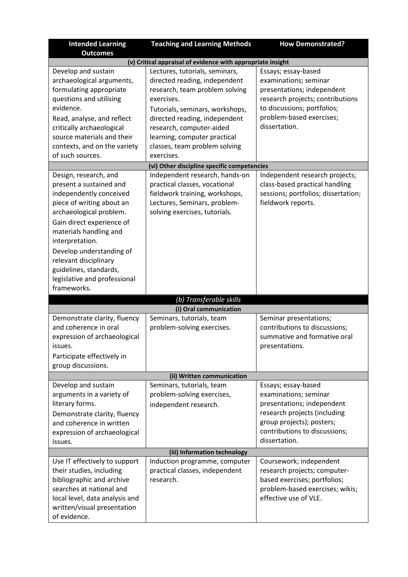| <b>Intended Learning</b><br><b>Outcomes</b>                                                                                                                                                                                                                                                                                                 | <b>Teaching and Learning Methods</b>                                                                                                                                                                                                                                                           | <b>How Demonstrated?</b>                                                                                                                                                                   |
|---------------------------------------------------------------------------------------------------------------------------------------------------------------------------------------------------------------------------------------------------------------------------------------------------------------------------------------------|------------------------------------------------------------------------------------------------------------------------------------------------------------------------------------------------------------------------------------------------------------------------------------------------|--------------------------------------------------------------------------------------------------------------------------------------------------------------------------------------------|
|                                                                                                                                                                                                                                                                                                                                             | (v) Critical appraisal of evidence with appropriate insight                                                                                                                                                                                                                                    |                                                                                                                                                                                            |
| Develop and sustain<br>archaeological arguments,<br>formulating appropriate<br>questions and utilising<br>evidence.<br>Read, analyse, and reflect<br>critically archaeological<br>source materials and their<br>contexts, and on the variety<br>of such sources.                                                                            | Lectures, tutorials, seminars,<br>directed reading, independent<br>research, team problem solving<br>exercises.<br>Tutorials, seminars, workshops,<br>directed reading, independent<br>research, computer-aided<br>learning, computer practical<br>classes, team problem solving<br>exercises. | Essays; essay-based<br>examinations; seminar<br>presentations; independent<br>research projects; contributions<br>to discussions; portfolios;<br>problem-based exercises;<br>dissertation. |
|                                                                                                                                                                                                                                                                                                                                             | (vi) Other discipline specific competencies                                                                                                                                                                                                                                                    |                                                                                                                                                                                            |
| Design, research, and<br>present a sustained and<br>independently conceived<br>piece of writing about an<br>archaeological problem.<br>Gain direct experience of<br>materials handling and<br>interpretation.<br>Develop understanding of<br>relevant disciplinary<br>guidelines, standards,<br>legislative and professional<br>frameworks. | Independent research, hands-on<br>practical classes, vocational<br>fieldwork training, workshops,<br>Lectures, Seminars, problem-<br>solving exercises, tutorials.                                                                                                                             | Independent research projects;<br>class-based practical handling<br>sessions; portfolios; dissertation;<br>fieldwork reports.                                                              |
|                                                                                                                                                                                                                                                                                                                                             | (b) Transferable skills                                                                                                                                                                                                                                                                        |                                                                                                                                                                                            |
|                                                                                                                                                                                                                                                                                                                                             | (i) Oral communication                                                                                                                                                                                                                                                                         |                                                                                                                                                                                            |
| Demonstrate clarity, fluency<br>and coherence in oral<br>expression of archaeological<br>issues.<br>Participate effectively in<br>group discussions.                                                                                                                                                                                        | Seminars, tutorials, team<br>problem-solving exercises.                                                                                                                                                                                                                                        | Seminar presentations;<br>contributions to discussions;<br>summative and formative oral<br>presentations.                                                                                  |
|                                                                                                                                                                                                                                                                                                                                             | (ii) Written communication                                                                                                                                                                                                                                                                     |                                                                                                                                                                                            |
| Develop and sustain<br>arguments in a variety of<br>literary forms.<br>Demonstrate clarity, fluency<br>and coherence in written<br>expression of archaeological<br>issues.                                                                                                                                                                  | Seminars, tutorials, team<br>problem-solving exercises,<br>independent research.                                                                                                                                                                                                               | Essays; essay-based<br>examinations; seminar<br>presentations; independent<br>research projects (including<br>group projects); posters;<br>contributions to discussions;<br>dissertation.  |
|                                                                                                                                                                                                                                                                                                                                             | (iii) Information technology                                                                                                                                                                                                                                                                   |                                                                                                                                                                                            |
| Use IT effectively to support<br>their studies, including<br>bibliographic and archive<br>searches at national and<br>local level, data analysis and<br>written/visual presentation<br>of evidence.                                                                                                                                         | Induction programme, computer<br>practical classes, independent<br>research.                                                                                                                                                                                                                   | Coursework; independent<br>research projects; computer-<br>based exercises; portfolios;<br>problem-based exercises; wikis;<br>effective use of VLE.                                        |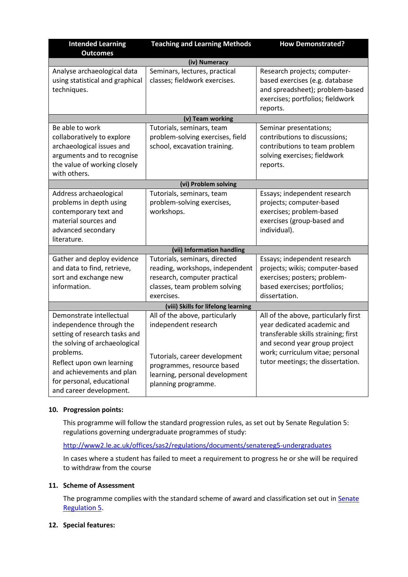| <b>Intended Learning</b>                                                                                                                                                                                                                              | <b>Teaching and Learning Methods</b>                                                                                                                                           | <b>How Demonstrated?</b>                                                                                                                                                                                              |
|-------------------------------------------------------------------------------------------------------------------------------------------------------------------------------------------------------------------------------------------------------|--------------------------------------------------------------------------------------------------------------------------------------------------------------------------------|-----------------------------------------------------------------------------------------------------------------------------------------------------------------------------------------------------------------------|
| <b>Outcomes</b>                                                                                                                                                                                                                                       |                                                                                                                                                                                |                                                                                                                                                                                                                       |
|                                                                                                                                                                                                                                                       | (iv) Numeracy                                                                                                                                                                  |                                                                                                                                                                                                                       |
| Analyse archaeological data<br>using statistical and graphical<br>techniques.                                                                                                                                                                         | Seminars, lectures, practical<br>classes; fieldwork exercises.                                                                                                                 | Research projects; computer-<br>based exercises (e.g. database<br>and spreadsheet); problem-based<br>exercises; portfolios; fieldwork<br>reports.                                                                     |
|                                                                                                                                                                                                                                                       | (v) Team working                                                                                                                                                               |                                                                                                                                                                                                                       |
| Be able to work<br>collaboratively to explore<br>archaeological issues and<br>arguments and to recognise<br>the value of working closely<br>with others.                                                                                              | Tutorials, seminars, team<br>problem-solving exercises, field<br>school, excavation training.                                                                                  | Seminar presentations;<br>contributions to discussions;<br>contributions to team problem<br>solving exercises; fieldwork<br>reports.                                                                                  |
|                                                                                                                                                                                                                                                       | (vi) Problem solving                                                                                                                                                           |                                                                                                                                                                                                                       |
| Address archaeological<br>problems in depth using<br>contemporary text and<br>material sources and<br>advanced secondary<br>literature.                                                                                                               | Tutorials, seminars, team<br>problem-solving exercises,<br>workshops.                                                                                                          | Essays; independent research<br>projects; computer-based<br>exercises; problem-based<br>exercises (group-based and<br>individual).                                                                                    |
|                                                                                                                                                                                                                                                       | (vii) Information handling                                                                                                                                                     |                                                                                                                                                                                                                       |
| Gather and deploy evidence<br>and data to find, retrieve,<br>sort and exchange new<br>information.                                                                                                                                                    | Tutorials, seminars, directed<br>reading, workshops, independent<br>research, computer practical<br>classes, team problem solving<br>exercises.                                | Essays; independent research<br>projects; wikis; computer-based<br>exercises; posters; problem-<br>based exercises; portfolios;<br>dissertation.                                                                      |
|                                                                                                                                                                                                                                                       | (viii) Skills for lifelong learning                                                                                                                                            |                                                                                                                                                                                                                       |
| Demonstrate intellectual<br>independence through the<br>setting of research tasks and<br>the solving of archaeological<br>problems.<br>Reflect upon own learning<br>and achievements and plan<br>for personal, educational<br>and career development. | All of the above, particularly<br>independent research<br>Tutorials, career development<br>programmes, resource based<br>learning, personal development<br>planning programme. | All of the above, particularly first<br>year dedicated academic and<br>transferable skills straining; first<br>and second year group project<br>work; curriculum vitae; personal<br>tutor meetings; the dissertation. |

## **10. Progression points:**

This programme will follow the standard progression rules, as set out by Senate Regulation 5: regulations governing undergraduate programmes of study:

<http://www2.le.ac.uk/offices/sas2/regulations/documents/senatereg5-undergraduates>

In cases where a student has failed to meet a requirement to progress he or she will be required to withdraw from the course

## **11. Scheme of Assessment**

The programme complies with the standard scheme of award and classification set out in Senate [Regulation 5.](http://www2.le.ac.uk/offices/sas2/regulations/documents/senatereg5-undergraduates)

### **12. Special features:**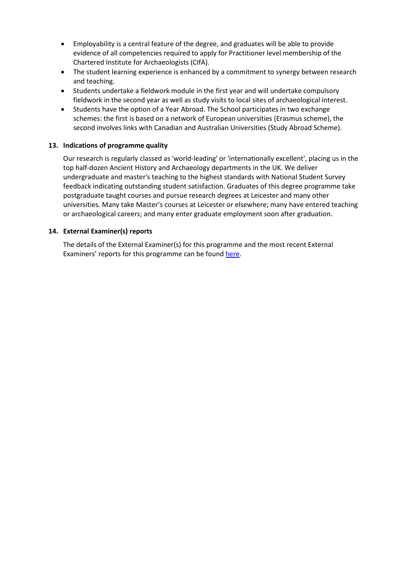- Employability is a central feature of the degree, and graduates will be able to provide evidence of all competencies required to apply for Practitioner level membership of the Chartered Institute for Archaeologists (CIfA).
- The student learning experience is enhanced by a commitment to synergy between research and teaching.
- Students undertake a fieldwork module in the first year and will undertake compulsory fieldwork in the second year as well as study visits to local sites of archaeological interest.
- Students have the option of a Year Abroad. The School participates in two exchange schemes: the first is based on a network of European universities (Erasmus scheme), the second involves links with Canadian and Australian Universities (Study Abroad Scheme).

### **13. Indications of programme quality**

Our research is regularly classed as 'world-leading' or 'internationally excellent', placing us in the top half-dozen Ancient History and Archaeology departments in the UK. We deliver undergraduate and master's teaching to the highest standards with National Student Survey feedback indicating outstanding student satisfaction. Graduates of this degree programme take postgraduate taught courses and pursue research degrees at Leicester and many other universities. Many take Master's courses at Leicester or elsewhere; many have entered teaching or archaeological careers; and many enter graduate employment soon after graduation.

### **14. External Examiner(s) reports**

The details of the External Examiner(s) for this programme and the most recent External Examiners' reports for this programme can be found [here.](https://exampapers.le.ac.uk/xmlui/)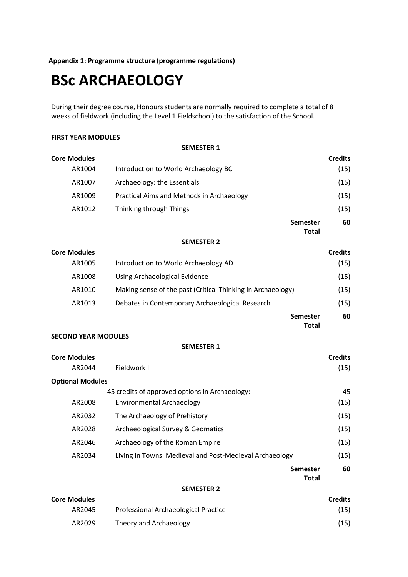# **BSc ARCHAEOLOGY**

During their degree course, Honours students are normally required to complete a total of 8 weeks of fieldwork (including the Level 1 Fieldschool) to the satisfaction of the School.

### **FIRST YEAR MODULES**

**SEMESTER 1**

| <b>Core Modules</b> |                                           |                 | <b>Credits</b> |
|---------------------|-------------------------------------------|-----------------|----------------|
| AR1004              | Introduction to World Archaeology BC      |                 | (15)           |
| AR1007              | Archaeology: the Essentials               |                 | (15)           |
| AR1009              | Practical Aims and Methods in Archaeology |                 | (15)           |
| AR1012              | Thinking through Things                   |                 | (15)           |
|                     |                                           | <b>Semester</b> | 60             |
|                     |                                           | <b>Total</b>    |                |
|                     | CEBAFCTED 3                               |                 |                |

### **SEMESTER 2**

| <b>Core Modules</b> |                                                             | <b>Credits</b> |
|---------------------|-------------------------------------------------------------|----------------|
| AR1005              | Introduction to World Archaeology AD                        | (15)           |
| AR1008              | Using Archaeological Evidence                               | (15)           |
| AR1010              | Making sense of the past (Critical Thinking in Archaeology) | (15)           |
| AR1013              | Debates in Contemporary Archaeological Research             | (15)           |
|                     | <b>Semester</b><br>Total                                    | 60             |

### **SECOND YEAR MODULES**

### **SEMESTER 1**

| <b>Core Modules</b>     |                                                         | <b>Credits</b>           |      |
|-------------------------|---------------------------------------------------------|--------------------------|------|
| AR2044                  | Fieldwork I                                             |                          | (15) |
| <b>Optional Modules</b> |                                                         |                          |      |
|                         | 45 credits of approved options in Archaeology:          |                          | 45   |
| AR2008                  | Environmental Archaeology                               |                          | (15) |
| AR2032                  | The Archaeology of Prehistory                           |                          | (15) |
| AR2028                  | <b>Archaeological Survey &amp; Geomatics</b>            |                          | (15) |
| AR2046                  | Archaeology of the Roman Empire                         |                          | (15) |
| AR2034                  | Living in Towns: Medieval and Post-Medieval Archaeology |                          | (15) |
|                         |                                                         | Semester<br><b>Total</b> | 60   |
|                         |                                                         |                          |      |

#### **SEMESTER 2**

| <b>Core Modules</b> |                                      | <b>Credits</b> |
|---------------------|--------------------------------------|----------------|
| AR2045              | Professional Archaeological Practice | (15)           |
| AR2029              | Theory and Archaeology               | (15)           |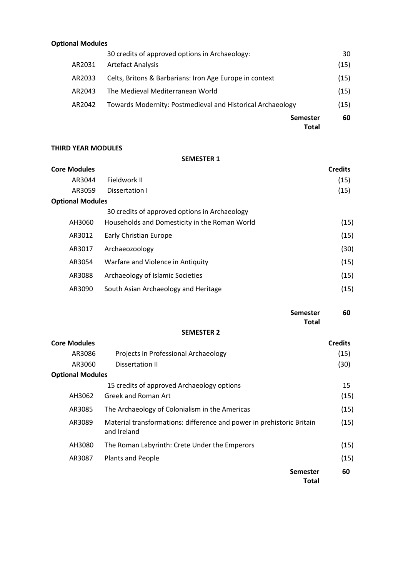### **Optional Modules**

|        | <b>Semester</b><br>Total                                   | 60   |
|--------|------------------------------------------------------------|------|
| AR2042 | Towards Modernity: Postmedieval and Historical Archaeology | (15) |
| AR2043 | The Medieval Mediterranean World                           | (15) |
| AR2033 | Celts, Britons & Barbarians: Iron Age Europe in context    | (15) |
| AR2031 | <b>Artefact Analysis</b>                                   | (15) |
|        | 30 credits of approved options in Archaeology:             | 30   |

### **THIRD YEAR MODULES**

### **SEMESTER 1**

| <b>Core Modules</b>     |                                               | <b>Credits</b> |
|-------------------------|-----------------------------------------------|----------------|
| AR3044                  | Fieldwork II                                  | (15)           |
| AR3059                  | Dissertation I                                | (15)           |
| <b>Optional Modules</b> |                                               |                |
|                         | 30 credits of approved options in Archaeology |                |
| AH3060                  | Households and Domesticity in the Roman World | (15)           |
| AR3012                  | Early Christian Europe                        | (15)           |
| AR3017                  | Archaeozoology                                | (30)           |
| AR3054                  | Warfare and Violence in Antiquity             | (15)           |
| AR3088                  | Archaeology of Islamic Societies              | (15)           |
| AR3090                  | South Asian Archaeology and Heritage          | (15)           |

|                         | <b>Semester</b>                                                                      | 60             |
|-------------------------|--------------------------------------------------------------------------------------|----------------|
|                         | <b>Total</b>                                                                         |                |
|                         | <b>SEMESTER 2</b>                                                                    |                |
| <b>Core Modules</b>     |                                                                                      | <b>Credits</b> |
| AR3086                  | Projects in Professional Archaeology                                                 | (15)           |
| AR3060                  | Dissertation II                                                                      | (30)           |
| <b>Optional Modules</b> |                                                                                      |                |
|                         | 15 credits of approved Archaeology options                                           | 15             |
| AH3062                  | Greek and Roman Art                                                                  | (15)           |
| AR3085                  | The Archaeology of Colonialism in the Americas                                       | (15)           |
| AR3089                  | Material transformations: difference and power in prehistoric Britain<br>and Ireland | (15)           |
| AH3080                  | The Roman Labyrinth: Crete Under the Emperors                                        | (15)           |
| AR3087                  | <b>Plants and People</b>                                                             | (15)           |

**Semester Total 60**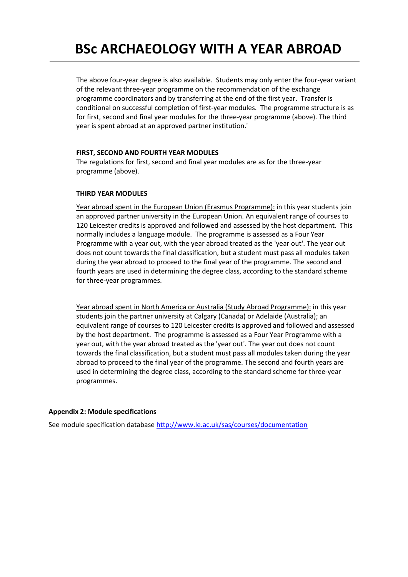## **BSc ARCHAEOLOGY WITH A YEAR ABROAD**

The above four-year degree is also available. Students may only enter the four-year variant of the relevant three-year programme on the recommendation of the exchange programme coordinators and by transferring at the end of the first year. Transfer is conditional on successful completion of first-year modules. The programme structure is as for first, second and final year modules for the three-year programme (above). The third year is spent abroad at an approved partner institution.'

### **FIRST, SECOND AND FOURTH YEAR MODULES**

The regulations for first, second and final year modules are as for the three-year programme (above).

### **THIRD YEAR MODULES**

Year abroad spent in the European Union (Erasmus Programme): in this year students join an approved partner university in the European Union. An equivalent range of courses to 120 Leicester credits is approved and followed and assessed by the host department. This normally includes a language module. The programme is assessed as a Four Year Programme with a year out, with the year abroad treated as the 'year out'. The year out does not count towards the final classification, but a student must pass all modules taken during the year abroad to proceed to the final year of the programme. The second and fourth years are used in determining the degree class, according to the standard scheme for three-year programmes.

Year abroad spent in North America or Australia (Study Abroad Programme): in this year students join the partner university at Calgary (Canada) or Adelaide (Australia); an equivalent range of courses to 120 Leicester credits is approved and followed and assessed by the host department. The programme is assessed as a Four Year Programme with a year out, with the year abroad treated as the 'year out'. The year out does not count towards the final classification, but a student must pass all modules taken during the year abroad to proceed to the final year of the programme. The second and fourth years are used in determining the degree class, according to the standard scheme for three-year programmes.

### **Appendix 2: Module specifications**

See module specification database <http://www.le.ac.uk/sas/courses/documentation>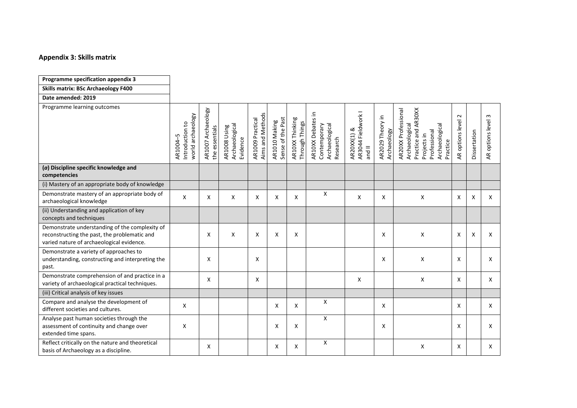### **Appendix 3: Skills matrix**

| Programme specification appendix 3                                                                                                          |                                                  |                                      |                                            |                                      |                                    |                                   |                                                                 |                                                    |                                 |                                                                                                                           |                                                   |                           |                            |
|---------------------------------------------------------------------------------------------------------------------------------------------|--------------------------------------------------|--------------------------------------|--------------------------------------------|--------------------------------------|------------------------------------|-----------------------------------|-----------------------------------------------------------------|----------------------------------------------------|---------------------------------|---------------------------------------------------------------------------------------------------------------------------|---------------------------------------------------|---------------------------|----------------------------|
| <b>Skills matrix: BSc Archaeology F400</b>                                                                                                  |                                                  |                                      |                                            |                                      |                                    |                                   |                                                                 |                                                    |                                 |                                                                                                                           |                                                   |                           |                            |
| Date amended: 2019                                                                                                                          |                                                  |                                      |                                            |                                      |                                    |                                   |                                                                 |                                                    |                                 |                                                                                                                           |                                                   |                           |                            |
| Programme learning outcomes                                                                                                                 | world archaeology<br>Introduction to<br>AR1004-5 | AR1007 Archaeology<br>the essentials | Archaeological<br>AR1008 Using<br>Evidence | Aims and Methods<br>AR1009 Practical | Sense of the Past<br>AR1010 Making | AR10XX Thinking<br>Through Things | AR10XX Debates in<br>Contemporary<br>Archaeological<br>Research | AR3044 Fieldwork I<br>AR20XX(1) &<br>$\frac{1}{2}$ | AR2029 Theory in<br>Archaeology | AR20XX Professional<br>Practice and AR30XX<br>Archaeological<br>Archaeological<br>Professional<br>Projects in<br>Practice | $\sim$<br>options level<br>$\mathop{\mathsf{AR}}$ | Dissertation              | $\sim$<br>AR options level |
| (a) Discipline specific knowledge and<br>competencies                                                                                       |                                                  |                                      |                                            |                                      |                                    |                                   |                                                                 |                                                    |                                 |                                                                                                                           |                                                   |                           |                            |
| (i) Mastery of an appropriate body of knowledge                                                                                             |                                                  |                                      |                                            |                                      |                                    |                                   |                                                                 |                                                    |                                 |                                                                                                                           |                                                   |                           |                            |
| Demonstrate mastery of an appropriate body of<br>archaeological knowledge                                                                   | X                                                | X                                    | X                                          | X                                    | X                                  | X                                 | X                                                               | X                                                  | X                               | X                                                                                                                         | X                                                 | X                         | X                          |
| (ii) Understanding and application of key<br>concepts and techniques                                                                        |                                                  |                                      |                                            |                                      |                                    |                                   |                                                                 |                                                    |                                 |                                                                                                                           |                                                   |                           |                            |
| Demonstrate understanding of the complexity of<br>reconstructing the past, the problematic and<br>varied nature of archaeological evidence. |                                                  | X                                    | X                                          | X                                    | X                                  | X                                 |                                                                 |                                                    | X                               | X                                                                                                                         | X                                                 | $\boldsymbol{\mathsf{X}}$ | X                          |
| Demonstrate a variety of approaches to<br>understanding, constructing and interpreting the<br>past.                                         |                                                  | X                                    |                                            | X                                    |                                    |                                   |                                                                 |                                                    | X                               | X                                                                                                                         | $\mathsf{x}$                                      |                           | X                          |
| Demonstrate comprehension of and practice in a<br>variety of archaeological practical techniques.                                           |                                                  | X                                    |                                            | X                                    |                                    |                                   |                                                                 | X                                                  |                                 | X                                                                                                                         | X                                                 |                           | X                          |
| (iii) Critical analysis of key issues                                                                                                       |                                                  |                                      |                                            |                                      |                                    |                                   |                                                                 |                                                    |                                 |                                                                                                                           |                                                   |                           |                            |
| Compare and analyse the development of<br>different societies and cultures.                                                                 | X                                                |                                      |                                            |                                      | X                                  | X                                 | X                                                               |                                                    | X                               |                                                                                                                           | X                                                 |                           | X                          |
| Analyse past human societies through the<br>assessment of continuity and change over<br>extended time spans.                                | X                                                |                                      |                                            |                                      | X                                  | X                                 | X                                                               |                                                    | X                               |                                                                                                                           | X                                                 |                           | X                          |
| Reflect critically on the nature and theoretical<br>basis of Archaeology as a discipline.                                                   |                                                  | X                                    |                                            |                                      | X                                  | X                                 | X                                                               |                                                    |                                 | X                                                                                                                         | X                                                 |                           | X                          |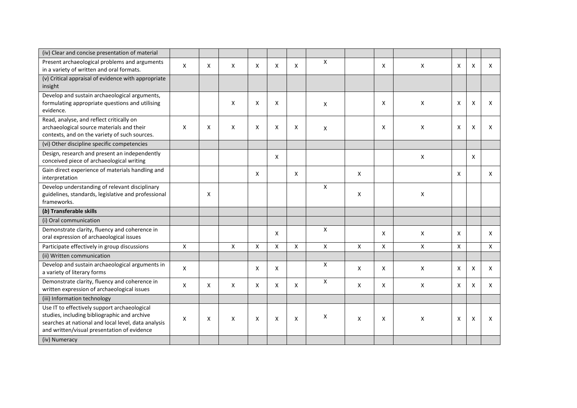| (iv) Clear and concise presentation of material                                                                                                                                                    |   |   |   |   |   |   |              |   |                           |   |   |   |   |
|----------------------------------------------------------------------------------------------------------------------------------------------------------------------------------------------------|---|---|---|---|---|---|--------------|---|---------------------------|---|---|---|---|
| Present archaeological problems and arguments<br>in a variety of written and oral formats.                                                                                                         | X | X | X | X | X | X | X            |   | X                         | X | X | X | X |
| (v) Critical appraisal of evidence with appropriate<br>insight                                                                                                                                     |   |   |   |   |   |   |              |   |                           |   |   |   |   |
| Develop and sustain archaeological arguments,<br>formulating appropriate questions and utilising<br>evidence.                                                                                      |   |   | X | X | X |   | X            |   | X                         | X | X | X | X |
| Read, analyse, and reflect critically on<br>archaeological source materials and their<br>contexts, and on the variety of such sources.                                                             | X | X | X | X | X | X | X            |   | X                         | X | X | X | Χ |
| (vi) Other discipline specific competencies                                                                                                                                                        |   |   |   |   |   |   |              |   |                           |   |   |   |   |
| Design, research and present an independently<br>conceived piece of archaeological writing                                                                                                         |   |   |   |   | X |   |              |   |                           | X |   | X |   |
| Gain direct experience of materials handling and<br>interpretation                                                                                                                                 |   |   |   | X |   | X |              | X |                           |   | X |   | X |
| Develop understanding of relevant disciplinary<br>guidelines, standards, legislative and professional<br>frameworks.                                                                               |   | Х |   |   |   |   | X            | X |                           | X |   |   |   |
| (b) Transferable skills                                                                                                                                                                            |   |   |   |   |   |   |              |   |                           |   |   |   |   |
| (i) Oral communication                                                                                                                                                                             |   |   |   |   |   |   |              |   |                           |   |   |   |   |
| Demonstrate clarity, fluency and coherence in<br>oral expression of archaeological issues                                                                                                          |   |   |   |   | X |   | X            |   | X                         | X | X |   | X |
| Participate effectively in group discussions                                                                                                                                                       | X |   | X | X | X | X | X            | X | $\boldsymbol{\mathsf{X}}$ | X | X |   | X |
| (ii) Written communication                                                                                                                                                                         |   |   |   |   |   |   |              |   |                           |   |   |   |   |
| Develop and sustain archaeological arguments in<br>a variety of literary forms                                                                                                                     | X |   |   | X | X |   | X            | X | X                         | X | X | X | X |
| Demonstrate clarity, fluency and coherence in<br>written expression of archaeological issues                                                                                                       | X | X | X | X | X | X | $\mathsf{x}$ | X | X                         | X | X | X | X |
| (iii) Information technology                                                                                                                                                                       |   |   |   |   |   |   |              |   |                           |   |   |   |   |
| Use IT to effectively support archaeological<br>studies, including bibliographic and archive<br>searches at national and local level, data analysis<br>and written/visual presentation of evidence | X | X | X | X | X | X | Χ            | X | X                         | X | X | Χ | X |
| (iv) Numeracy                                                                                                                                                                                      |   |   |   |   |   |   |              |   |                           |   |   |   |   |